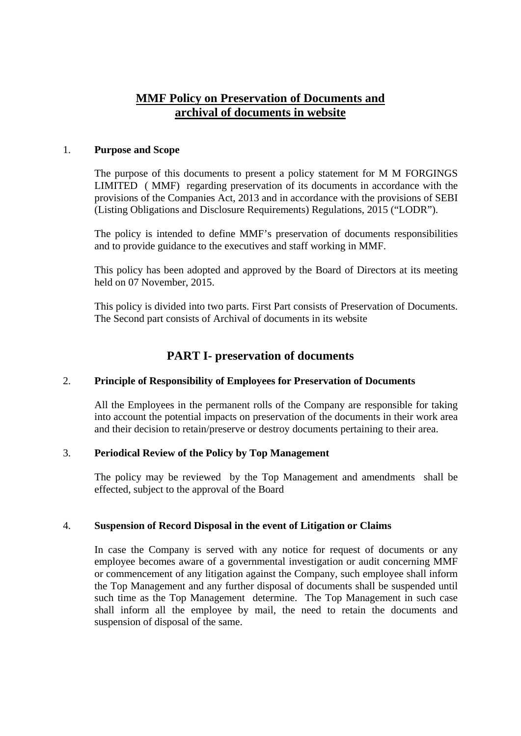### **MMF Policy on Preservation of Documents and archival of documents in website**

#### 1. **Purpose and Scope**

The purpose of this documents to present a policy statement for M M FORGINGS LIMITED ( MMF) regarding preservation of its documents in accordance with the provisions of the Companies Act, 2013 and in accordance with the provisions of SEBI (Listing Obligations and Disclosure Requirements) Regulations, 2015 ("LODR").

 The policy is intended to define MMF's preservation of documents responsibilities and to provide guidance to the executives and staff working in MMF.

This policy has been adopted and approved by the Board of Directors at its meeting held on 07 November, 2015.

This policy is divided into two parts. First Part consists of Preservation of Documents. The Second part consists of Archival of documents in its website

### **PART I- preservation of documents**

### 2. **Principle of Responsibility of Employees for Preservation of Documents**

All the Employees in the permanent rolls of the Company are responsible for taking into account the potential impacts on preservation of the documents in their work area and their decision to retain/preserve or destroy documents pertaining to their area.

#### 3. **Periodical Review of the Policy by Top Management**

The policy may be reviewed by the Top Management and amendments shall be effected, subject to the approval of the Board

#### 4. **Suspension of Record Disposal in the event of Litigation or Claims**

In case the Company is served with any notice for request of documents or any employee becomes aware of a governmental investigation or audit concerning MMF or commencement of any litigation against the Company, such employee shall inform the Top Management and any further disposal of documents shall be suspended until such time as the Top Management determine. The Top Management in such case shall inform all the employee by mail, the need to retain the documents and suspension of disposal of the same.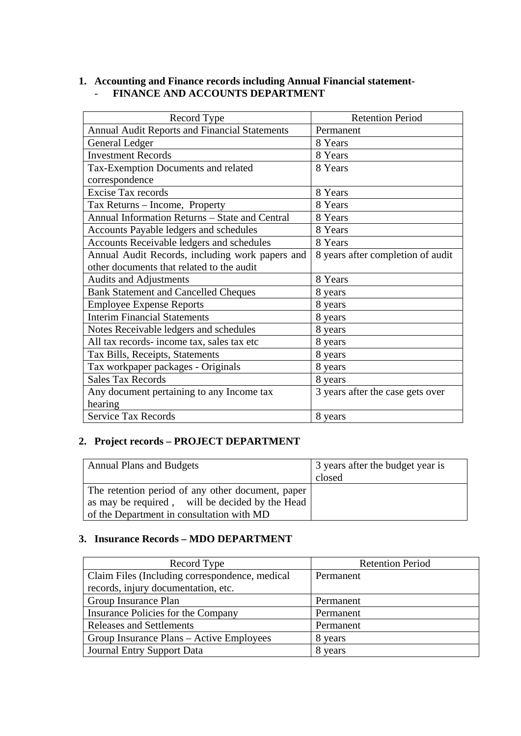### **1. Accounting and Finance records including Annual Financial statement-** - **FINANCE AND ACCOUNTS DEPARTMENT**

| Record Type                                          | <b>Retention Period</b>           |
|------------------------------------------------------|-----------------------------------|
| <b>Annual Audit Reports and Financial Statements</b> | Permanent                         |
| General Ledger                                       | 8 Years                           |
| <b>Investment Records</b>                            | 8 Years                           |
| Tax-Exemption Documents and related                  | 8 Years                           |
| correspondence                                       |                                   |
| Excise Tax records                                   | 8 Years                           |
| Tax Returns - Income, Property                       | 8 Years                           |
| Annual Information Returns - State and Central       | 8 Years                           |
| Accounts Payable ledgers and schedules               | 8 Years                           |
| Accounts Receivable ledgers and schedules            | 8 Years                           |
| Annual Audit Records, including work papers and      | 8 years after completion of audit |
| other documents that related to the audit            |                                   |
| <b>Audits and Adjustments</b>                        | 8 Years                           |
| <b>Bank Statement and Cancelled Cheques</b>          | 8 years                           |
| <b>Employee Expense Reports</b>                      | 8 years                           |
| <b>Interim Financial Statements</b>                  | 8 years                           |
| Notes Receivable ledgers and schedules               | 8 years                           |
| All tax records- income tax, sales tax etc           | 8 years                           |
| Tax Bills, Receipts, Statements                      | 8 years                           |
| Tax workpaper packages - Originals                   | 8 years                           |
| <b>Sales Tax Records</b>                             | 8 years                           |
| Any document pertaining to any Income tax            | 3 years after the case gets over  |
| hearing                                              |                                   |
| <b>Service Tax Records</b>                           | 8 years                           |

## **2. Project records – PROJECT DEPARTMENT**

| <b>Annual Plans and Budgets</b>                   | 3 years after the budget year is |
|---------------------------------------------------|----------------------------------|
|                                                   | closed                           |
| The retention period of any other document, paper |                                  |
| as may be required, will be decided by the Head   |                                  |
| of the Department in consultation with MD         |                                  |

### **3. Insurance Records – MDO DEPARTMENT**

| Record Type                                    | <b>Retention Period</b> |
|------------------------------------------------|-------------------------|
| Claim Files (Including correspondence, medical | Permanent               |
| records, injury documentation, etc.            |                         |
| Group Insurance Plan                           | Permanent               |
| Insurance Policies for the Company             | Permanent               |
| Releases and Settlements                       | Permanent               |
| Group Insurance Plans – Active Employees       | 8 years                 |
| Journal Entry Support Data                     | 8 years                 |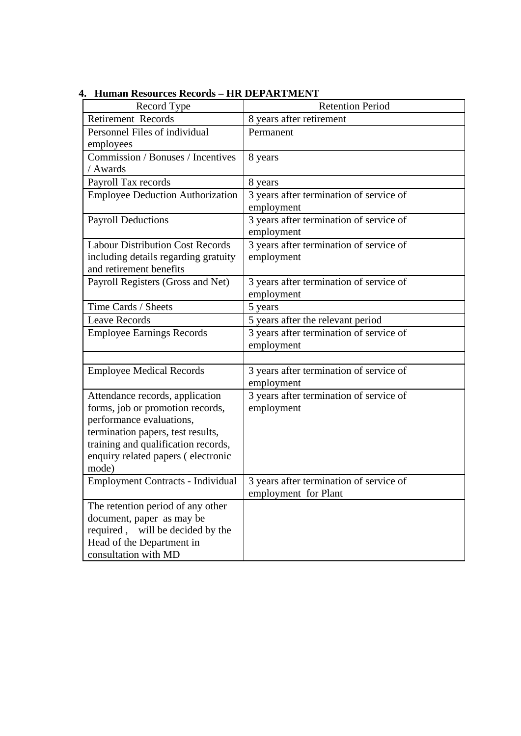| Record Type                             | <b>Retention Period</b>                               |
|-----------------------------------------|-------------------------------------------------------|
| <b>Retirement Records</b>               | 8 years after retirement                              |
| Personnel Files of individual           | Permanent                                             |
| employees                               |                                                       |
| Commission / Bonuses / Incentives       | 8 years                                               |
| / Awards                                |                                                       |
| Payroll Tax records                     | 8 years                                               |
| <b>Employee Deduction Authorization</b> | 3 years after termination of service of<br>employment |
| <b>Payroll Deductions</b>               | 3 years after termination of service of               |
|                                         | employment                                            |
| <b>Labour Distribution Cost Records</b> | 3 years after termination of service of               |
| including details regarding gratuity    | employment                                            |
| and retirement benefits                 |                                                       |
| Payroll Registers (Gross and Net)       | 3 years after termination of service of               |
|                                         | employment                                            |
| Time Cards / Sheets                     | 5 years                                               |
| <b>Leave Records</b>                    | 5 years after the relevant period                     |
| <b>Employee Earnings Records</b>        | 3 years after termination of service of               |
|                                         | employment                                            |
|                                         |                                                       |
| <b>Employee Medical Records</b>         | 3 years after termination of service of<br>employment |
| Attendance records, application         | 3 years after termination of service of               |
| forms, job or promotion records,        | employment                                            |
| performance evaluations,                |                                                       |
| termination papers, test results,       |                                                       |
| training and qualification records,     |                                                       |
| enquiry related papers (electronic      |                                                       |
| mode)                                   |                                                       |
| Employment Contracts - Individual       | 3 years after termination of service of               |
|                                         | employment for Plant                                  |
| The retention period of any other       |                                                       |
| document, paper as may be               |                                                       |
| required, will be decided by the        |                                                       |
| Head of the Department in               |                                                       |
| consultation with MD                    |                                                       |

**4. Human Resources Records – HR DEPARTMENT**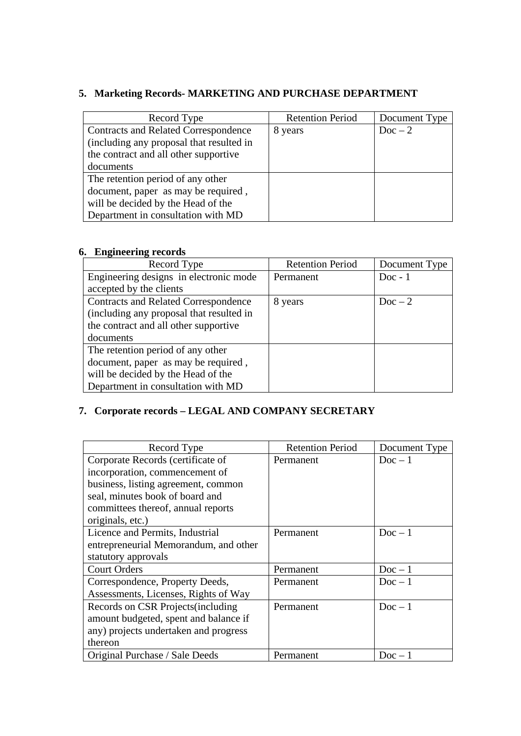## **5. Marketing Records- MARKETING AND PURCHASE DEPARTMENT**

| Record Type                                 | <b>Retention Period</b> | Document Type |
|---------------------------------------------|-------------------------|---------------|
| <b>Contracts and Related Correspondence</b> | 8 years                 | $Doc-2$       |
| (including any proposal that resulted in    |                         |               |
| the contract and all other supportive       |                         |               |
| documents                                   |                         |               |
| The retention period of any other           |                         |               |
| document, paper as may be required,         |                         |               |
| will be decided by the Head of the          |                         |               |
| Department in consultation with MD          |                         |               |

### **6. Engineering records**

| Record Type                                 | <b>Retention Period</b> | Document Type |
|---------------------------------------------|-------------------------|---------------|
| Engineering designs in electronic mode      | Permanent               | $Doc - 1$     |
| accepted by the clients                     |                         |               |
| <b>Contracts and Related Correspondence</b> | 8 years                 | $Doc-2$       |
| (including any proposal that resulted in    |                         |               |
| the contract and all other supportive       |                         |               |
| documents                                   |                         |               |
| The retention period of any other           |                         |               |
| document, paper as may be required,         |                         |               |
| will be decided by the Head of the          |                         |               |
| Department in consultation with MD          |                         |               |

# **7. Corporate records – LEGAL AND COMPANY SECRETARY**

| Record Type                           | <b>Retention Period</b> | Document Type |
|---------------------------------------|-------------------------|---------------|
| Corporate Records (certificate of     | Permanent               | $Doc-1$       |
| incorporation, commencement of        |                         |               |
| business, listing agreement, common   |                         |               |
| seal, minutes book of board and       |                         |               |
| committees thereof, annual reports    |                         |               |
| originals, etc.)                      |                         |               |
| Licence and Permits, Industrial       | Permanent               | $Doc-1$       |
| entrepreneurial Memorandum, and other |                         |               |
| statutory approvals                   |                         |               |
| <b>Court Orders</b>                   | Permanent               | $Doc-1$       |
| Correspondence, Property Deeds,       | Permanent               | $Doc-1$       |
| Assessments, Licenses, Rights of Way  |                         |               |
| Records on CSR Projects(including     | Permanent               | $Doc-1$       |
| amount budgeted, spent and balance if |                         |               |
| any) projects undertaken and progress |                         |               |
| thereon                               |                         |               |
| Original Purchase / Sale Deeds        | Permanent               | $Doc-1$       |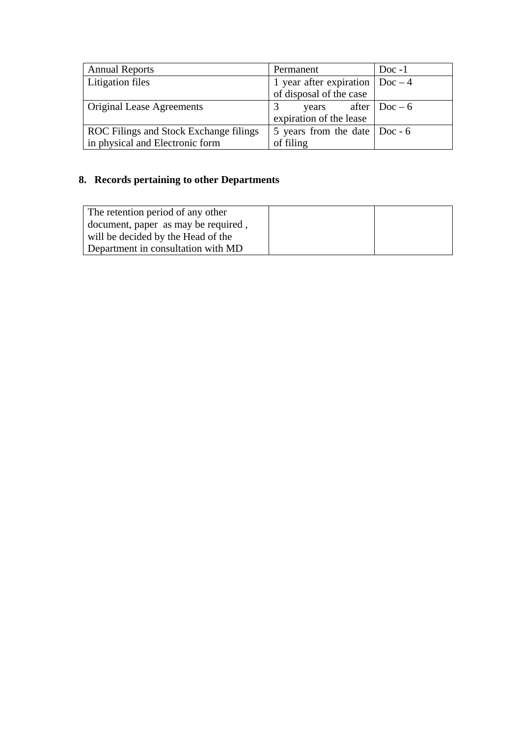| <b>Annual Reports</b>                  | $Doc -1$<br>Permanent                   |
|----------------------------------------|-----------------------------------------|
| <b>Litigation files</b>                | 1 year after expiration $\vert$ Doc – 4 |
|                                        | of disposal of the case                 |
| <b>Original Lease Agreements</b>       | years after $\vert$ Doc – 6             |
|                                        | expiration of the lease                 |
| ROC Filings and Stock Exchange filings | 5 years from the date $\vert$ Doc - 6   |
| in physical and Electronic form        | of filing                               |

# **8. Records pertaining to other Departments**

| The retention period of any other   |  |
|-------------------------------------|--|
| document, paper as may be required, |  |
| will be decided by the Head of the  |  |
| Department in consultation with MD  |  |